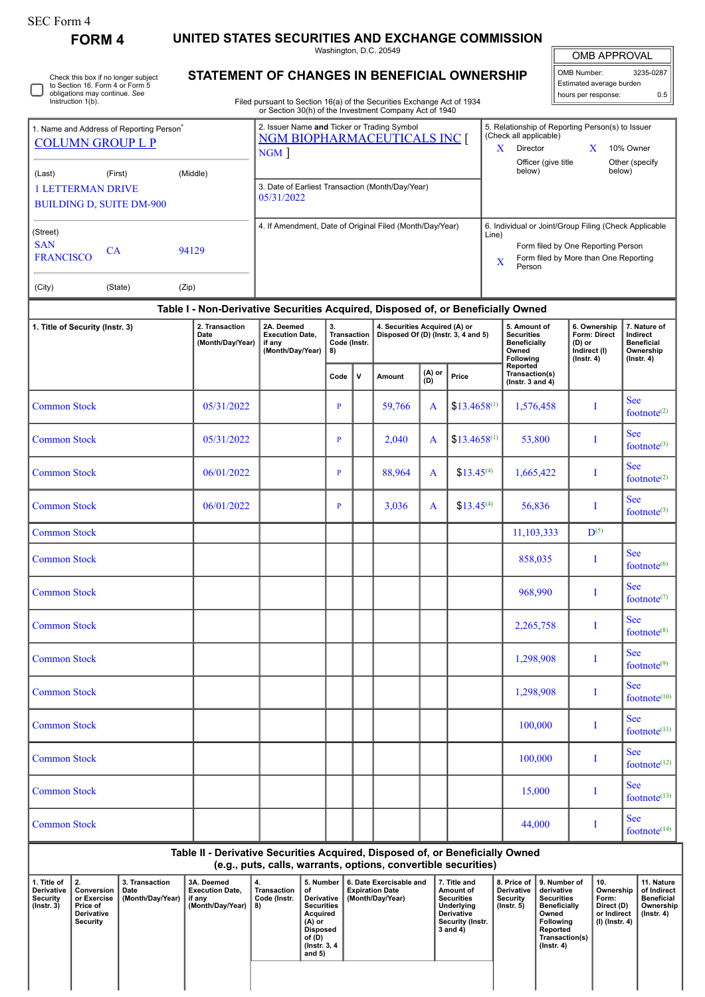| <b>SEC Form 4</b>                                                                                                            |                                                                       |                                            |                                                                                                                                                                                                                                                                        | UNITED STATES SECURITIES AND EXCHANGE COMMISSION                                                                                                                                                                         |                                                |                                                                                                                                                                                                       |                                                |                                                                       |                                             |                |                                                                                                                                                                                       |                                                     |                                                                                                                                                |           |                                                                                                                                                             |                                                                                |
|------------------------------------------------------------------------------------------------------------------------------|-----------------------------------------------------------------------|--------------------------------------------|------------------------------------------------------------------------------------------------------------------------------------------------------------------------------------------------------------------------------------------------------------------------|--------------------------------------------------------------------------------------------------------------------------------------------------------------------------------------------------------------------------|------------------------------------------------|-------------------------------------------------------------------------------------------------------------------------------------------------------------------------------------------------------|------------------------------------------------|-----------------------------------------------------------------------|---------------------------------------------|----------------|---------------------------------------------------------------------------------------------------------------------------------------------------------------------------------------|-----------------------------------------------------|------------------------------------------------------------------------------------------------------------------------------------------------|-----------|-------------------------------------------------------------------------------------------------------------------------------------------------------------|--------------------------------------------------------------------------------|
|                                                                                                                              | <b>FORM4</b>                                                          |                                            |                                                                                                                                                                                                                                                                        |                                                                                                                                                                                                                          |                                                |                                                                                                                                                                                                       |                                                |                                                                       | Washington, D.C. 20549                      |                |                                                                                                                                                                                       |                                                     |                                                                                                                                                |           | OMB APPROVAL                                                                                                                                                |                                                                                |
| Check this box if no longer subject<br>to Section 16. Form 4 or Form 5<br>obligations may continue. See<br>Instruction 1(b). |                                                                       |                                            | OMB Number:<br>3235-0287<br><b>STATEMENT OF CHANGES IN BENEFICIAL OWNERSHIP</b><br>Estimated average burden<br>hours per response:<br>Filed pursuant to Section 16(a) of the Securities Exchange Act of 1934<br>or Section 30(h) of the Investment Company Act of 1940 |                                                                                                                                                                                                                          |                                                |                                                                                                                                                                                                       |                                                |                                                                       |                                             |                |                                                                                                                                                                                       |                                                     |                                                                                                                                                |           | 0.5                                                                                                                                                         |                                                                                |
|                                                                                                                              |                                                                       |                                            |                                                                                                                                                                                                                                                                        |                                                                                                                                                                                                                          |                                                |                                                                                                                                                                                                       |                                                |                                                                       | 2. Issuer Name and Ticker or Trading Symbol |                |                                                                                                                                                                                       | 5. Relationship of Reporting Person(s) to Issuer    |                                                                                                                                                |           |                                                                                                                                                             |                                                                                |
| 1. Name and Address of Reporting Person <sup>®</sup><br><b>COLUMN GROUP L P</b>                                              |                                                                       |                                            | NGM BIOPHARMACEUTICALS INC [<br>$NGM$ ]                                                                                                                                                                                                                                |                                                                                                                                                                                                                          |                                                |                                                                                                                                                                                                       |                                                |                                                                       |                                             |                | (Check all applicable)<br>Director<br>10% Owner<br>X<br>X<br>Officer (give title                                                                                                      |                                                     |                                                                                                                                                |           |                                                                                                                                                             |                                                                                |
| (First)<br>(Last)                                                                                                            |                                                                       |                                            | (Middle)                                                                                                                                                                                                                                                               | 3. Date of Earliest Transaction (Month/Day/Year)                                                                                                                                                                         |                                                |                                                                                                                                                                                                       |                                                |                                                                       |                                             |                |                                                                                                                                                                                       | below)                                              |                                                                                                                                                | below)    | Other (specify                                                                                                                                              |                                                                                |
|                                                                                                                              | <b>1 LETTERMAN DRIVE</b>                                              | <b>BUILDING D, SUITE DM-900</b>            |                                                                                                                                                                                                                                                                        |                                                                                                                                                                                                                          | 05/31/2022                                     |                                                                                                                                                                                                       |                                                |                                                                       |                                             |                |                                                                                                                                                                                       |                                                     |                                                                                                                                                |           |                                                                                                                                                             |                                                                                |
| (Street)<br><b>SAN</b><br>CA<br>94129<br><b>FRANCISCO</b>                                                                    |                                                                       |                                            |                                                                                                                                                                                                                                                                        | 4. If Amendment, Date of Original Filed (Month/Day/Year)<br>6. Individual or Joint/Group Filing (Check Applicable<br>Line)<br>Form filed by One Reporting Person<br>Form filed by More than One Reporting<br>X<br>Person |                                                |                                                                                                                                                                                                       |                                                |                                                                       |                                             |                |                                                                                                                                                                                       |                                                     |                                                                                                                                                |           |                                                                                                                                                             |                                                                                |
| (City)                                                                                                                       |                                                                       | (State)                                    | (Zip)                                                                                                                                                                                                                                                                  |                                                                                                                                                                                                                          |                                                |                                                                                                                                                                                                       |                                                |                                                                       |                                             |                |                                                                                                                                                                                       |                                                     |                                                                                                                                                |           |                                                                                                                                                             |                                                                                |
|                                                                                                                              |                                                                       |                                            |                                                                                                                                                                                                                                                                        | Table I - Non-Derivative Securities Acquired, Disposed of, or Beneficially Owned                                                                                                                                         |                                                |                                                                                                                                                                                                       |                                                |                                                                       |                                             |                |                                                                                                                                                                                       |                                                     |                                                                                                                                                |           |                                                                                                                                                             |                                                                                |
| 1. Title of Security (Instr. 3)                                                                                              |                                                                       |                                            |                                                                                                                                                                                                                                                                        | 2. Transaction<br>Date<br>(Month/Day/Year)                                                                                                                                                                               | 2A. Deemed<br>if any                           | <b>Execution Date,</b><br>(Month/Day/Year)                                                                                                                                                            | 3.<br><b>Transaction</b><br>Code (Instr.<br>8) |                                                                       | 4. Securities Acquired (A) or               |                | Disposed Of (D) (Instr. 3, 4 and 5)                                                                                                                                                   | Owned                                               | 5. Amount of<br><b>Securities</b><br><b>Beneficially</b><br>Following                                                                          |           | 6. Ownership<br>Form: Direct<br>Indirect (I)<br>$($ Instr. 4 $)$                                                                                            | 7. Nature of<br>Indirect<br><b>Beneficial</b><br>Ownership<br>$($ lnstr. 4 $)$ |
|                                                                                                                              |                                                                       |                                            |                                                                                                                                                                                                                                                                        |                                                                                                                                                                                                                          |                                                |                                                                                                                                                                                                       | Code                                           | ۷                                                                     | Amount                                      | (A) or<br>(D)  | Price                                                                                                                                                                                 | Reported<br>Transaction(s)<br>(Instr. $3$ and $4$ ) |                                                                                                                                                |           |                                                                                                                                                             |                                                                                |
| <b>Common Stock</b>                                                                                                          |                                                                       |                                            |                                                                                                                                                                                                                                                                        | 05/31/2022                                                                                                                                                                                                               |                                                |                                                                                                                                                                                                       | P                                              |                                                                       | 59,766                                      | A              | $$13.4658^{(1)}$                                                                                                                                                                      |                                                     | 1,576,458                                                                                                                                      | Т         |                                                                                                                                                             | <b>See</b><br>footnote $(2)$                                                   |
| <b>Common Stock</b>                                                                                                          |                                                                       |                                            |                                                                                                                                                                                                                                                                        | 05/31/2022                                                                                                                                                                                                               |                                                |                                                                                                                                                                                                       | P                                              |                                                                       | 2,040                                       | A              | $$13.4658^{(1)}$                                                                                                                                                                      |                                                     | 53,800                                                                                                                                         | Т         |                                                                                                                                                             | <b>See</b><br>footnote $(3)$                                                   |
| <b>Common Stock</b>                                                                                                          |                                                                       |                                            | 06/01/2022                                                                                                                                                                                                                                                             |                                                                                                                                                                                                                          |                                                | P                                                                                                                                                                                                     |                                                | 88,964                                                                | A                                           | $$13.45^{(4)}$ | 1,665,422                                                                                                                                                                             |                                                     | Т                                                                                                                                              |           | <b>See</b><br>footnote <sup>(2)</sup>                                                                                                                       |                                                                                |
| <b>Common Stock</b>                                                                                                          |                                                                       |                                            | 06/01/2022                                                                                                                                                                                                                                                             |                                                                                                                                                                                                                          |                                                | P                                                                                                                                                                                                     |                                                | 3,036                                                                 | A                                           | $$13.45^{(4)}$ |                                                                                                                                                                                       | 56,836                                              |                                                                                                                                                |           | <b>See</b><br>footnote $(3)$                                                                                                                                |                                                                                |
| <b>Common Stock</b>                                                                                                          |                                                                       |                                            |                                                                                                                                                                                                                                                                        |                                                                                                                                                                                                                          |                                                |                                                                                                                                                                                                       |                                                |                                                                       |                                             |                |                                                                                                                                                                                       |                                                     | 11,103,333                                                                                                                                     | $D^{(5)}$ |                                                                                                                                                             |                                                                                |
| <b>Common Stock</b>                                                                                                          |                                                                       |                                            |                                                                                                                                                                                                                                                                        |                                                                                                                                                                                                                          |                                                |                                                                                                                                                                                                       |                                                |                                                                       |                                             |                |                                                                                                                                                                                       |                                                     | 858,035                                                                                                                                        | I         |                                                                                                                                                             | <b>See</b><br>footnote <sup>(6)</sup>                                          |
| <b>Common Stock</b>                                                                                                          |                                                                       |                                            |                                                                                                                                                                                                                                                                        |                                                                                                                                                                                                                          |                                                |                                                                                                                                                                                                       |                                                |                                                                       |                                             |                |                                                                                                                                                                                       |                                                     | 968,990                                                                                                                                        | I         |                                                                                                                                                             | <b>See</b><br>footnote $(7)$                                                   |
| <b>Common Stock</b>                                                                                                          |                                                                       |                                            |                                                                                                                                                                                                                                                                        |                                                                                                                                                                                                                          |                                                |                                                                                                                                                                                                       |                                                |                                                                       |                                             |                |                                                                                                                                                                                       | 2,265,758                                           | I                                                                                                                                              |           | <b>See</b><br>footnote <sup>(8)</sup>                                                                                                                       |                                                                                |
| <b>Common Stock</b>                                                                                                          |                                                                       |                                            |                                                                                                                                                                                                                                                                        |                                                                                                                                                                                                                          |                                                |                                                                                                                                                                                                       |                                                |                                                                       |                                             |                |                                                                                                                                                                                       |                                                     | 1,298,908                                                                                                                                      |           |                                                                                                                                                             | <b>See</b><br>footnote $(9)$                                                   |
| <b>Common Stock</b>                                                                                                          |                                                                       |                                            |                                                                                                                                                                                                                                                                        |                                                                                                                                                                                                                          |                                                |                                                                                                                                                                                                       |                                                |                                                                       |                                             |                |                                                                                                                                                                                       | 1,298,908                                           | I                                                                                                                                              |           | <b>See</b><br>footnote $(10)$                                                                                                                               |                                                                                |
| <b>Common Stock</b>                                                                                                          |                                                                       |                                            |                                                                                                                                                                                                                                                                        |                                                                                                                                                                                                                          |                                                |                                                                                                                                                                                                       |                                                |                                                                       |                                             |                |                                                                                                                                                                                       | 100,000                                             | Т                                                                                                                                              |           | <b>See</b><br>footnote <sup>(11)</sup>                                                                                                                      |                                                                                |
| <b>Common Stock</b>                                                                                                          |                                                                       |                                            |                                                                                                                                                                                                                                                                        |                                                                                                                                                                                                                          |                                                |                                                                                                                                                                                                       |                                                |                                                                       |                                             |                |                                                                                                                                                                                       | 100,000                                             | Т                                                                                                                                              |           | <b>See</b><br>footnote $(12)$                                                                                                                               |                                                                                |
| <b>Common Stock</b>                                                                                                          |                                                                       |                                            |                                                                                                                                                                                                                                                                        |                                                                                                                                                                                                                          |                                                |                                                                                                                                                                                                       |                                                |                                                                       |                                             |                |                                                                                                                                                                                       | 15,000                                              | I                                                                                                                                              |           | <b>See</b><br>footnote(13)                                                                                                                                  |                                                                                |
| <b>Common Stock</b>                                                                                                          |                                                                       |                                            |                                                                                                                                                                                                                                                                        |                                                                                                                                                                                                                          |                                                |                                                                                                                                                                                                       |                                                |                                                                       | 44,000                                      |                | I                                                                                                                                                                                     |                                                     | <b>See</b><br>footnote <sup>(14)</sup>                                                                                                         |           |                                                                                                                                                             |                                                                                |
|                                                                                                                              |                                                                       |                                            |                                                                                                                                                                                                                                                                        | Table II - Derivative Securities Acquired, Disposed of, or Beneficially Owned                                                                                                                                            |                                                |                                                                                                                                                                                                       |                                                |                                                                       |                                             |                |                                                                                                                                                                                       |                                                     |                                                                                                                                                |           |                                                                                                                                                             |                                                                                |
| 1. Title of<br>Derivative<br><b>Security</b><br>$($ Instr. 3 $)$                                                             | 2.<br>Conversion<br>or Exercise<br>Price of<br>Derivative<br>Security | 3. Transaction<br>Date<br>(Month/Day/Year) |                                                                                                                                                                                                                                                                        | 3A. Deemed<br><b>Execution Date,</b><br>if any<br>(Month/Day/Year)                                                                                                                                                       | 4.<br><b>Transaction</b><br>Code (Instr.<br>8) | (e.g., puts, calls, warrants, options, convertible securities)<br>5. Number<br>of<br>Derivative<br><b>Securities</b><br>Acquired<br>$(A)$ or<br><b>Disposed</b><br>of (D)<br>(Instr. 3, 4<br>and $5)$ |                                                | 6. Date Exercisable and<br><b>Expiration Date</b><br>(Month/Day/Year) |                                             |                | 8. Price of<br>7. Title and<br>Derivative<br>Amount of<br><b>Securities</b><br><b>Security</b><br>Underlying<br>$($ Instr. 5 $)$<br><b>Derivative</b><br>Security (Instr.<br>3 and 4) |                                                     | 9. Number of<br>derivative<br><b>Securities</b><br><b>Beneficially</b><br>Owned<br>Following<br>Reported<br>Transaction(s)<br>$($ Instr. 4 $)$ |           | 10.<br>11. Nature<br>of Indirect<br>Ownership<br>Form:<br><b>Beneficial</b><br>Direct (D)<br>Ownership<br>or Indirect<br>$($ Instr. 4 $)$<br>(I) (Instr. 4) |                                                                                |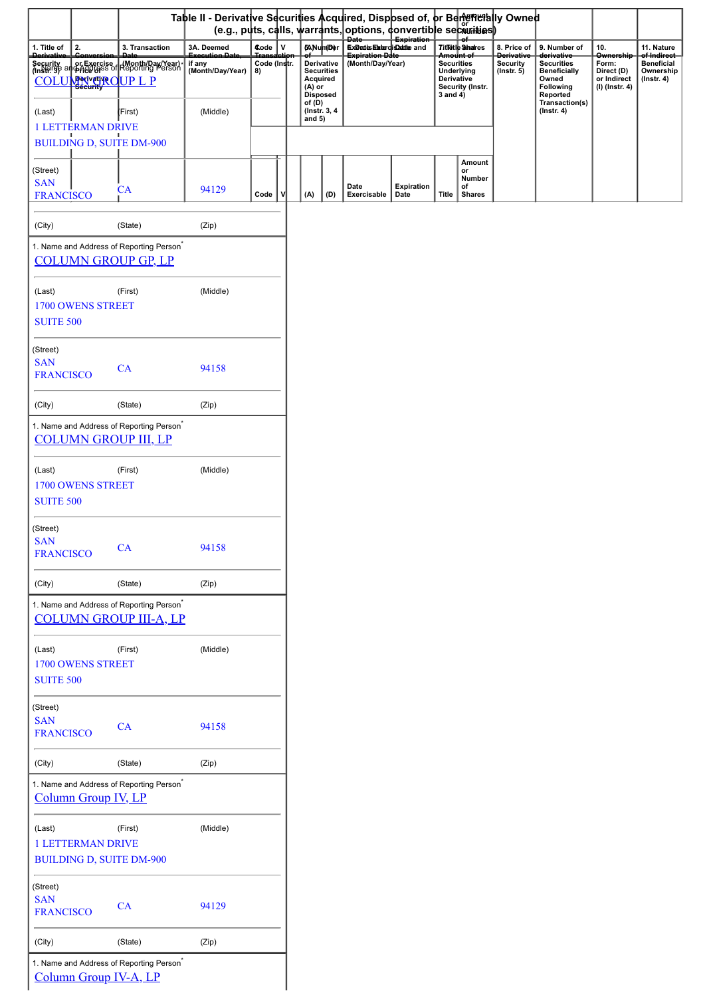|                                                        |                                                                                                      | Table II - Derivative Securities Acquired, Disposed of, or Benemetally Owned<br>(e.g., puts, calls, warrants, options, convertible securities) |                    |   |                    |                                                         |                                                   |                           |                                                                                       |                                        |                                                  |                                                                              |                                                                          |                                                                   |
|--------------------------------------------------------|------------------------------------------------------------------------------------------------------|------------------------------------------------------------------------------------------------------------------------------------------------|--------------------|---|--------------------|---------------------------------------------------------|---------------------------------------------------|---------------------------|---------------------------------------------------------------------------------------|----------------------------------------|--------------------------------------------------|------------------------------------------------------------------------------|--------------------------------------------------------------------------|-------------------------------------------------------------------|
| 2.<br>1. Title of                                      | 3. Transaction                                                                                       | 3A. Deemed                                                                                                                                     | Code V             |   |                    | 6ANumDer                                                | Date Expiration<br>Expertis Etater of Statute and |                           |                                                                                       | Titletle Shares                        | 8. Price of                                      | 9. Number of                                                                 | 10.                                                                      | 11. Nature                                                        |
| <b>Derivativ</b>                                       | Security or Exercise (Month/Day/Year)<br>(Instr. 3) and page of Reporting Person<br>COLUMNUM OUP L P | Execution Date<br>if any<br>(Month/Day/Year)                                                                                                   | Code (Instr.<br>8) |   | (A) or             | Derivative<br><b>Securities</b><br>Acquired<br>Disposed | <b>Expiration Date</b><br>(Month/Day/Year)        |                           | <del>Amount of</del><br><b>Securities</b><br>Underlying<br>Derivative<br>$3$ and $4)$ | Security (Instr.                       | <b>Derivativ</b><br>Security<br>$($ Instr. 5 $)$ | derivative<br><b>Securities</b><br><b>Beneficially</b><br>Owned<br>Following | <b>Ownership</b><br>Form:<br>Direct (D)<br>or Indirect<br>(I) (Instr. 4) | of Indirect<br><b>Beneficial</b><br>Ownership<br>$($ Instr. 4 $)$ |
| (Last)<br><b>1 LETTERMAN DRIVE</b>                     | (First)<br><b>BUILDING D, SUITE DM-900</b>                                                           | (Middle)                                                                                                                                       |                    |   | of (D)<br>and $5)$ | (Instr. 3, 4)                                           |                                                   |                           |                                                                                       |                                        |                                                  | Reported<br>Transaction(s)<br>$($ Instr. 4 $)$                               |                                                                          |                                                                   |
| (Street)<br><b>SAN</b><br><b>FRANCISCO</b>             | CA                                                                                                   | 94129                                                                                                                                          | Code               | ν | (A)                | (D)                                                     | Date<br>Exercisable                               | <b>Expiration</b><br>Date | Title                                                                                 | Amount<br>or<br>Number<br>of<br>Shares |                                                  |                                                                              |                                                                          |                                                                   |
|                                                        |                                                                                                      |                                                                                                                                                |                    |   |                    |                                                         |                                                   |                           |                                                                                       |                                        |                                                  |                                                                              |                                                                          |                                                                   |
| (City)                                                 | (State)<br>1. Name and Address of Reporting Person <sup>*</sup>                                      | (Zip)                                                                                                                                          |                    |   |                    |                                                         |                                                   |                           |                                                                                       |                                        |                                                  |                                                                              |                                                                          |                                                                   |
|                                                        | <b>COLUMN GROUP GP, LP</b>                                                                           |                                                                                                                                                |                    |   |                    |                                                         |                                                   |                           |                                                                                       |                                        |                                                  |                                                                              |                                                                          |                                                                   |
| (Last)<br>1700 OWENS STREET<br><b>SUITE 500</b>        | (First)                                                                                              | (Middle)                                                                                                                                       |                    |   |                    |                                                         |                                                   |                           |                                                                                       |                                        |                                                  |                                                                              |                                                                          |                                                                   |
| (Street)<br><b>SAN</b><br><b>FRANCISCO</b>             | CA                                                                                                   | 94158                                                                                                                                          |                    |   |                    |                                                         |                                                   |                           |                                                                                       |                                        |                                                  |                                                                              |                                                                          |                                                                   |
| (City)                                                 | (State)                                                                                              | (Zip)                                                                                                                                          |                    |   |                    |                                                         |                                                   |                           |                                                                                       |                                        |                                                  |                                                                              |                                                                          |                                                                   |
|                                                        | 1. Name and Address of Reporting Person <sup>*</sup><br><b>COLUMN GROUP III, LP</b>                  |                                                                                                                                                |                    |   |                    |                                                         |                                                   |                           |                                                                                       |                                        |                                                  |                                                                              |                                                                          |                                                                   |
| (Last)<br><b>1700 OWENS STREET</b><br><b>SUITE 500</b> | (First)                                                                                              | (Middle)                                                                                                                                       |                    |   |                    |                                                         |                                                   |                           |                                                                                       |                                        |                                                  |                                                                              |                                                                          |                                                                   |
| (Street)<br><b>SAN</b><br><b>FRANCISCO</b>             | CA                                                                                                   | 94158                                                                                                                                          |                    |   |                    |                                                         |                                                   |                           |                                                                                       |                                        |                                                  |                                                                              |                                                                          |                                                                   |
| (City)                                                 | (State)                                                                                              | (Zip)                                                                                                                                          |                    |   |                    |                                                         |                                                   |                           |                                                                                       |                                        |                                                  |                                                                              |                                                                          |                                                                   |
|                                                        | 1. Name and Address of Reporting Person <sup>*</sup><br><b>COLUMN GROUP III-A, LP</b>                |                                                                                                                                                |                    |   |                    |                                                         |                                                   |                           |                                                                                       |                                        |                                                  |                                                                              |                                                                          |                                                                   |
| (Last)<br>1700 OWENS STREET<br><b>SUITE 500</b>        | (First)                                                                                              | (Middle)                                                                                                                                       |                    |   |                    |                                                         |                                                   |                           |                                                                                       |                                        |                                                  |                                                                              |                                                                          |                                                                   |
| (Street)<br><b>SAN</b><br><b>FRANCISCO</b>             | CA                                                                                                   | 94158                                                                                                                                          |                    |   |                    |                                                         |                                                   |                           |                                                                                       |                                        |                                                  |                                                                              |                                                                          |                                                                   |
| (City)                                                 | (State)                                                                                              | (Zip)                                                                                                                                          |                    |   |                    |                                                         |                                                   |                           |                                                                                       |                                        |                                                  |                                                                              |                                                                          |                                                                   |
|                                                        | 1. Name and Address of Reporting Person <sup>*</sup><br>Column Group IV, LP                          |                                                                                                                                                |                    |   |                    |                                                         |                                                   |                           |                                                                                       |                                        |                                                  |                                                                              |                                                                          |                                                                   |
| (Last)<br><b>1 LETTERMAN DRIVE</b>                     | (First)<br><b>BUILDING D, SUITE DM-900</b>                                                           | (Middle)                                                                                                                                       |                    |   |                    |                                                         |                                                   |                           |                                                                                       |                                        |                                                  |                                                                              |                                                                          |                                                                   |
| (Street)<br><b>SAN</b><br><b>FRANCISCO</b>             | CA                                                                                                   | 94129                                                                                                                                          |                    |   |                    |                                                         |                                                   |                           |                                                                                       |                                        |                                                  |                                                                              |                                                                          |                                                                   |
| (City)                                                 | (State)                                                                                              | (Zip)                                                                                                                                          |                    |   |                    |                                                         |                                                   |                           |                                                                                       |                                        |                                                  |                                                                              |                                                                          |                                                                   |
|                                                        | 1. Name and Address of Reporting Person <sup>*</sup><br>Column Group IV-A, LP                        |                                                                                                                                                |                    |   |                    |                                                         |                                                   |                           |                                                                                       |                                        |                                                  |                                                                              |                                                                          |                                                                   |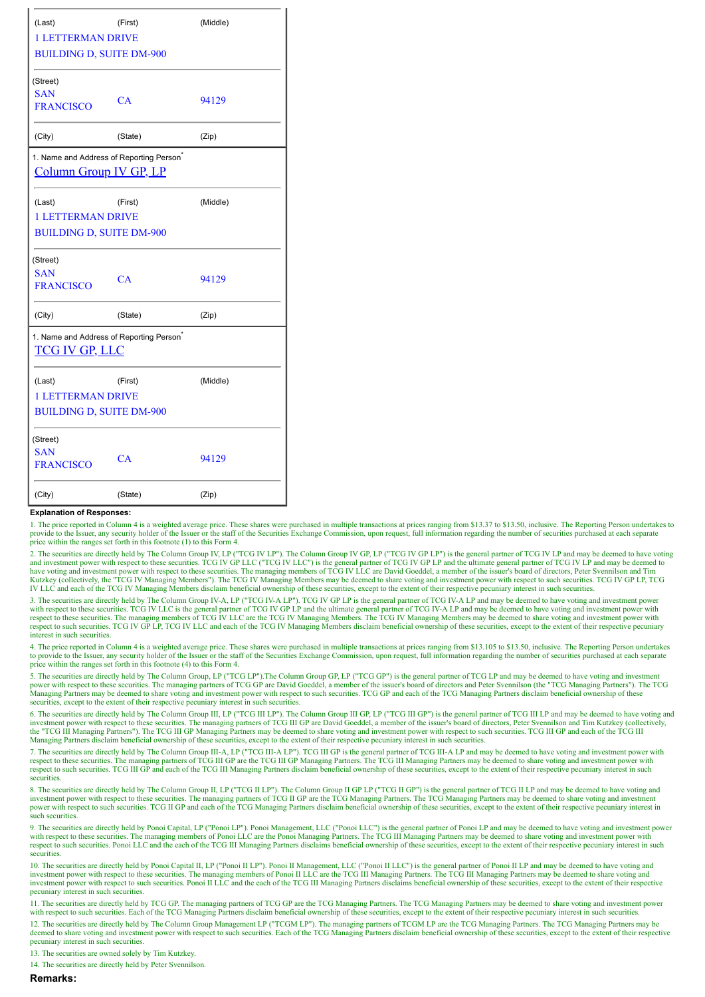| (Last)<br>(First)<br>(Middle)                                                  |         |          |  |  |  |  |  |  |  |
|--------------------------------------------------------------------------------|---------|----------|--|--|--|--|--|--|--|
| <b>1 LETTERMAN DRIVE</b>                                                       |         |          |  |  |  |  |  |  |  |
| <b>BUILDING D, SUITE DM-900</b>                                                |         |          |  |  |  |  |  |  |  |
| (Street)<br><b>SAN</b><br><b>FRANCISCO</b>                                     | CA      | 94129    |  |  |  |  |  |  |  |
| (City)                                                                         | (State) | (Zip)    |  |  |  |  |  |  |  |
| 1. Name and Address of Reporting Person <sup>*</sup><br>Column Group IV GP, LP |         |          |  |  |  |  |  |  |  |
| (Last)                                                                         | (First) | (Middle) |  |  |  |  |  |  |  |
| <b>1 LETTERMAN DRIVE</b>                                                       |         |          |  |  |  |  |  |  |  |
| <b>BUILDING D, SUITE DM-900</b>                                                |         |          |  |  |  |  |  |  |  |
| (Street)<br><b>SAN</b><br><b>FRANCISCO</b>                                     | CA      | 94129    |  |  |  |  |  |  |  |
| (City)                                                                         | (State) | (Zip)    |  |  |  |  |  |  |  |
| 1. Name and Address of Reporting Person <sup>*</sup><br><b>TCG IV GP, LLC</b>  |         |          |  |  |  |  |  |  |  |
| (Last)<br><b>1 LETTERMAN DRIVE</b>                                             | (First) | (Middle) |  |  |  |  |  |  |  |
| <b>BUILDING D. SUITE DM-900</b>                                                |         |          |  |  |  |  |  |  |  |
| (Street)<br><b>SAN</b><br><b>FRANCISCO</b>                                     | CA      | 94129    |  |  |  |  |  |  |  |
| (City)                                                                         | (State) | (Zip)    |  |  |  |  |  |  |  |

## **Explanation of Responses:**

1. The price reported in Column 4 is a weighted average price. These shares were purchased in multiple transactions at prices ranging from \$13.37 to \$13.50, inclusive. The Reporting Person undertakes to provide to the Issuer, any security holder of the Issuer or the staff of the Securities Exchange Commission, upon request, full information regarding the number of securities purchased at each separate price within the ranges set forth in this footnote (1) to this Form 4.

2. The securities are directly held by The Column Group IV, LP ("TCG IV LP"). The Column Group IV GP, LP ("TCG IV GP LP") is the general partner of TCG IV LP and may be deemed to have voting and investment power with respect to these securities. TCG IV GP LLC ("TCG IV LC") is the general partner of TCG IV GP LP and the ultimate general partner of TCG IV LP and may be deemed to have voting and investment power with respect to these securities. The managing members of TCG IV LLC are David Goeddel, a member of the issuer's board of directors, Peter Svennilson and Tim<br>Kutzkey (collectively, the "TCG IV LLC and each of the TCG IV Managing Members disclaim beneficial ownership of these securities, except to the extent of their respective pecuniary interest in such securities.

3. The securities are directly held by The Column Group IV-A, LP ("TCG IV-A LP"). TCG IV GP LP is the general partner of TCG IV-A LP and may be deemed to have voting and investment power with respect to these securities. TCG IV LLC is the general partner of TCG IV GP LP and the ultimate general partner of TCG IV-A LP and may be deemed to have voting and investment power with<br>respect to these securities. Th respect to such securities. TCG IV GP LP, TCG IV LLC and each of the TCG IV Managing Members disclaim beneficial ownership of these securities, except to the extent of their respective pecuniary interest in such securities.

4. The price reported in Column 4 is a weighted average price. These shares were purchased in multiple transactions at prices ranging from \$13.105 to \$13.50, inclusive. The Reporting Person undertakes to provide to the Issuer, any security holder of the Issuer or the staff of the Securities Exchange Commission, upon request, full information regarding the number of securities purchased at each separate price within the ranges set forth in this footnote (4) to this Form 4.

5. The securities are directly held by The Column Group, LP ("TCG LP").The Column Group GP, LP ("TCG GP") is the general partner of TCG LP and may be deemed to have voting and investment<br>power with respect to these securit securities, except to the extent of their respective pecuniary interest in such securities.

6. The securities are directly held by The Column Group III, LP ("TCG III LP"). The Column Group III GP, LP ("TCG III GP") is the general partner of TCG III LP and may be deemed to have voting and investment power with respect to these securities. The managing partners of TCG III GP are David Goeddel, a member of the issuer's board of directors, Peter Svennilson and Tim Kutzkey (collectively, the "TCG III Managing Partners"). The TCG III GP Managing Partners may be deemed to share voting and investment power with respect to such securities. TCG III GP and each of the TCG III Managing Partners disclaim beneficial ownership of these securities, except to the extent of their respective pecuniary interest in such securities.

7. The securities are directly held by The Column Group III-A, LP ("TCG III-A LP"). TCG III GP is the general partner of TCG III-A LP and may be deemed to have voting and investment power with respect to these securities. The managing partners of TCG III GP are the TCG III GP Managing Partners. The TCG III Managing Partners may be deemed to share voting and investment power with respect to such securities. TCG III GP and each of the TCG III Managing Partners disclaim beneficial ownership of these securities, except to the extent of their respective pecuniary interest in such securities.

8. The securities are directly held by The Column Group II, LP ("TCG II LP"). The Column Group II GP LP ("TCG II GP") is the general partner of TCG II LP and may be deemed to have voting and<br>investment power with respect t power with respect to such securities. TCG II GP and each of the TCG Managing Partners disclaim beneficial ownership of these securities, except to the extent of their respective pecuniary interest in such securities.

9. The securities are directly held by Ponoi Capital, LP ("Ponoi LP"). Ponoi Management, LLC ("Ponoi LLC") is the general partner of Ponoi LP and may be deemed to have voting and investment power with respect to these securities. The managing members of Ponoi LLC are the Ponoi Managing Partners. The TCG III Managing Partners may be deemed to share voting and investment power with respect to such securities. Ponoi LLC and the each of the TCG III Managing Partners disclaims beneficial ownership of these securities, except to the extent of their respective pecuniary interest in such securities.

10. The securities are directly held by Ponoi Capital II, LP ("Ponoi II LP"). Ponoi II Management, LLC ("Ponoi II LLC") is the general partner of Ponoi II LP and may be deemed to have voting and<br>investment power with respe investment power with respect to such securities. Ponoi II LLC and the each of the TCG III Managing Partners disclaims beneficial ownership of these securities, except to the extent of their respective pecuniary interest in such securities.

11. The securities are directly held by TCG GP. The managing partners of TCG GP are the TCG Managing Partners. The TCG Managing Partners may be deemed to share voting and investment power with respect to such securities. Each of the TCG Managing Partners disclaim beneficial ownership of these securities, except to the extent of their respective pecuniary interest in such securities.

12. The securities are directly held by The Column Group Management LP ("TCGM LP"). The managing partners of TCGM LP are the TCG Managing Partners. The TCG Managing Partners may be deemed to share voting and investment power with respect to such securities. Each of the TCG Managing Partners disclaim beneficial ownership of these securities, except to the extent of their respective pecuniary interest in such securities.

13. The securities are owned solely by Tim Kutzkey.

14. The securities are directly held by Peter Svennilson.

## **Remarks:**